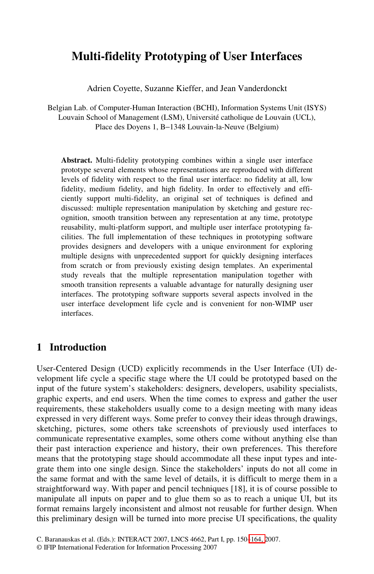# **Multi-fidelity Prototyping of User Interfaces**

Adrien Coyette, Suzanne Kieffer, and Jean Vanderdonckt

Belgian Lab. of Computer-Human Interaction (BCHI), Information Systems Unit (ISYS) Louvain School of Management (LSM), Université catholique de Louvain (UCL), Place des Doyens 1, B−1348 Louvain-la-Neuve (Belgium)

**Abstract.** Multi-fidelity prototyping combines within a single user interface prototype several elements whose representations are reproduced with different levels of fidelity with respect to the final user interface: no fidelity at all, low fidelity, medium fidelity, and high fidelity. In order to effectively and efficiently support multi-fidelity, an original set of techniques is defined and discussed: multiple representation manipulation by sketching and gesture recognition, smooth transition between any representation at any time, prototype reusability, multi-platform support, and multiple user interface prototyping facilities. The full implementation of these techniques in prototyping software provides designers and developers with a unique environment for exploring multiple designs with unprecedented support for quickly designing interfaces from scratch or from previously existing design templates. An experimental study reveals that the multiple representation manipulation together with smooth transition represents a valuable advantage for naturally designing user interfaces. The prototyping software supports several aspects involved in the user interface development life cycle and is convenient for non-WIMP user interfaces.

## **1 Introduction**

User-Centered Design (UCD) explicitly recommends in the User Interface (UI) development life cycle a specific stage where the UI could be prototyped based on the input of the future system's stakeholders: designers, developers, usability specialists, graphic experts, and end users. When the time comes to express and gather the user requirements, these stakeholders usually come to a design meeting with many ideas expressed in very different ways. Some prefer to convey their ideas through drawings, sketching, pictures, some others take screenshots of previously used interfaces to communicate representative examples, some others come without anything else than their past interaction experience and history, their own preferences. This therefore means that the prototyping stage should accommodate all these input types and integrate them into one single design. Since the stakeholders' inputs do not all come in the same format and with the same level of details, it is difficult to merge them in a straightforward way. With paper and pencil techniques [18], it is of course possible to manipulate all inputs on paper and to glue them so as to reach a unique UI, but its format remains largely inconsistent and almost not reusable for further design. When this preliminary design will be turned into more precise UI specifications, the quality

C. Baranauskas et al. (Eds.): INTERACT 2007, LNCS 4662, Part I, pp. 150[–164, 2](#page-14-0)007.

<sup>©</sup> IFIP International Federation for Information Processing 2007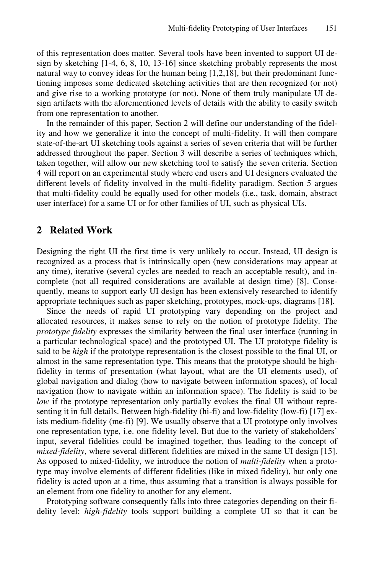of this representation does matter. Several tools have been invented to support UI design by sketching [1-4, 6, 8, 10, 13-16] since sketching probably represents the most natural way to convey ideas for the human being  $[1,2,18]$ , but their predominant functioning imposes some dedicated sketching activities that are then recognized (or not) and give rise to a working prototype (or not). None of them truly manipulate UI design artifacts with the aforementioned levels of details with the ability to easily switch from one representation to another.

In the remainder of this paper, Section 2 will define our understanding of the fidelity and how we generalize it into the concept of multi-fidelity. It will then compare state-of-the-art UI sketching tools against a series of seven criteria that will be further addressed throughout the paper. Section 3 will describe a series of techniques which, taken together, will allow our new sketching tool to satisfy the seven criteria. Section 4 will report on an experimental study where end users and UI designers evaluated the different levels of fidelity involved in the multi-fidelity paradigm. Section 5 argues that multi-fidelity could be equally used for other models (i.e., task, domain, abstract user interface) for a same UI or for other families of UI, such as physical UIs.

### **2 Related Work**

Designing the right UI the first time is very unlikely to occur. Instead, UI design is recognized as a process that is intrinsically open (new considerations may appear at any time), iterative (several cycles are needed to reach an acceptable result), and incomplete (not all required considerations are available at design time) [8]. Consequently, means to support early UI design has been extensively researched to identify appropriate techniques such as paper sketching, prototypes, mock-ups, diagrams [18].

Since the needs of rapid UI prototyping vary depending on the project and allocated resources, it makes sense to rely on the notion of prototype fidelity. The *prototype fidelity* expresses the similarity between the final user interface (running in a particular technological space) and the prototyped UI. The UI prototype fidelity is said to be *high* if the prototype representation is the closest possible to the final UI, or almost in the same representation type. This means that the prototype should be highfidelity in terms of presentation (what layout, what are the UI elements used), of global navigation and dialog (how to navigate between information spaces), of local navigation (how to navigate within an information space). The fidelity is said to be *low* if the prototype representation only partially evokes the final UI without representing it in full details. Between high-fidelity (hi-fi) and low-fidelity (low-fi) [17] exists medium-fidelity (me-fi) [9]. We usually observe that a UI prototype only involves one representation type, i.e. one fidelity level. But due to the variety of stakeholders' input, several fidelities could be imagined together, thus leading to the concept of *mixed-fidelity*, where several different fidelities are mixed in the same UI design [15]. As opposed to mixed-fidelity, we introduce the notion of *multi-fidelity* when a prototype may involve elements of different fidelities (like in mixed fidelity), but only one fidelity is acted upon at a time, thus assuming that a transition is always possible for an element from one fidelity to another for any element.

Prototyping software consequently falls into three categories depending on their fidelity level: *high-fidelity* tools support building a complete UI so that it can be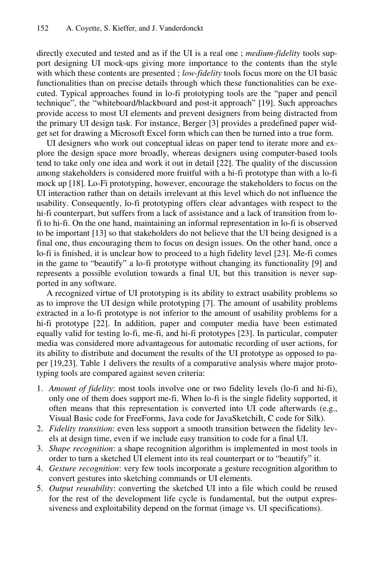directly executed and tested and as if the UI is a real one ; *medium-fidelity* tools support designing UI mock-ups giving more importance to the contents than the style with which these contents are presented ; *low-fidelity* tools focus more on the UI basic functionalities than on precise details through which these functionalities can be executed. Typical approaches found in lo-fi prototyping tools are the "paper and pencil technique", the "whiteboard/blackboard and post-it approach" [19]. Such approaches provide access to most UI elements and prevent designers from being distracted from the primary UI design task. For instance, Berger [3] provides a predefined paper widget set for drawing a Microsoft Excel form which can then be turned into a true form.

UI designers who work out conceptual ideas on paper tend to iterate more and explore the design space more broadly, whereas designers using computer-based tools tend to take only one idea and work it out in detail [22]. The quality of the discussion among stakeholders is considered more fruitful with a hi-fi prototype than with a lo-fi mock up [18]. Lo-Fi prototyping, however, encourage the stakeholders to focus on the UI interaction rather than on details irrelevant at this level which do not influence the usability. Consequently, lo-fi prototyping offers clear advantages with respect to the hi-fi counterpart, but suffers from a lack of assistance and a lack of transition from lofi to hi-fi. On the one hand, maintaining an informal representation in lo-fi is observed to be important [13] so that stakeholders do not believe that the UI being designed is a final one, thus encouraging them to focus on design issues. On the other hand, once a lo-fi is finished, it is unclear how to proceed to a high fidelity level [23]. Me-fi comes in the game to "beautify" a lo-fi prototype without changing its functionality [9] and represents a possible evolution towards a final UI, but this transition is never supported in any software.

A recognized virtue of UI prototyping is its ability to extract usability problems so as to improve the UI design while prototyping [7]. The amount of usability problems extracted in a lo-fi prototype is not inferior to the amount of usability problems for a hi-fi prototype [22]. In addition, paper and computer media have been estimated equally valid for testing lo-fi, me-fi, and hi-fi prototypes [23]. In particular, computer media was considered more advantageous for automatic recording of user actions, for its ability to distribute and document the results of the UI prototype as opposed to paper [19,23]. Table 1 delivers the results of a comparative analysis where major prototyping tools are compared against seven criteria:

- 1. *Amount of fidelity*: most tools involve one or two fidelity levels (lo-fi and hi-fi), only one of them does support me-fi. When lo-fi is the single fidelity supported, it often means that this representation is converted into UI code afterwards (e.g., Visual Basic code for FreeForms, Java code for JavaSketchiIt, C code for Silk).
- 2. *Fidelity transition*: even less support a smooth transition between the fidelity levels at design time, even if we include easy transition to code for a final UI.
- 3. *Shape recognition*: a shape recognition algorithm is implemented in most tools in order to turn a sketched UI element into its real counterpart or to "beautify" it.
- 4. *Gesture recognition*: very few tools incorporate a gesture recognition algorithm to convert gestures into sketching commands or UI elements.
- 5. *Output reusability*: converting the sketched UI into a file which could be reused for the rest of the development life cycle is fundamental, but the output expressiveness and exploitability depend on the format (image vs. UI specifications).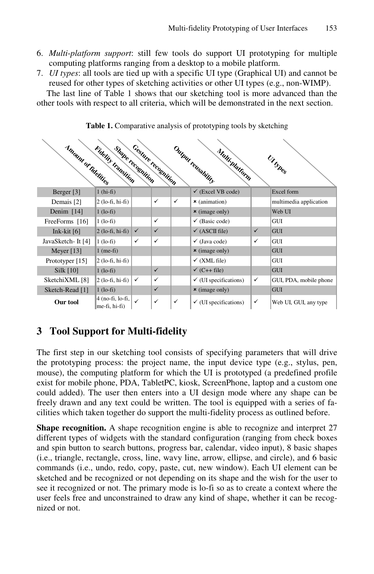- 6. *Multi*-*platform support*: still few tools do support UI prototyping for multiple computing platforms ranging from a desktop to a mobile platform.
- 7. *UI types*: all tools are tied up with a specific UI type (Graphical UI) and cannot be reused for other types of sketching activities or other UI types (e.g., non-WIMP).

The last line of Table 1 shows that our sketching tool is more advanced than the other tools with respect to all criteria, which will be demonstrated in the next section.



**Table 1.** Comparative analysis of prototyping tools by sketching

## **3 Tool Support for Multi-fidelity**

The first step in our sketching tool consists of specifying parameters that will drive the prototyping process: the project name, the input device type (e.g., stylus, pen, mouse), the computing platform for which the UI is prototyped (a predefined profile exist for mobile phone, PDA, TabletPC, kiosk, ScreenPhone, laptop and a custom one could added). The user then enters into a UI design mode where any shape can be freely drawn and any text could be written. The tool is equipped with a series of facilities which taken together do support the multi-fidelity process as outlined before.

**Shape recognition.** A shape recognition engine is able to recognize and interpret 27 different types of widgets with the standard configuration (ranging from check boxes and spin button to search buttons, progress bar, calendar, video input), 8 basic shapes (i.e., triangle, rectangle, cross, line, wavy line, arrow, ellipse, and circle), and 6 basic commands (i.e., undo, redo, copy, paste, cut, new window). Each UI element can be sketched and be recognized or not depending on its shape and the wish for the user to see it recognized or not. The primary mode is lo-fi so as to create a context where the user feels free and unconstrained to draw any kind of shape, whether it can be recognized or not.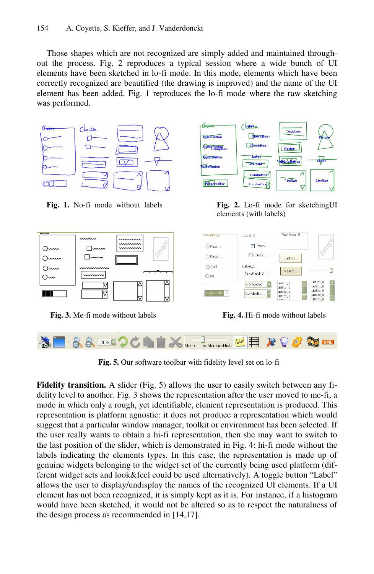Those shapes which are not recognized are simply added and maintained throughout the process. Fig. 2 reproduces a typical session where a wide bunch of UI elements have been sketched in lo-fi mode. In this mode, elements which have been correctly recognized are beautified (the drawing is improved) and the name of the UI element has been added. Fig. 1 reproduces the lo-fi mode where the raw sketching was performed.





**Fig. 1.** No-fi mode without labels **Fig. 2.** Lo-fi mode for sketching UI elements (with labels)



 **Fig. 3.** Me-fi mode without labels **Fig. 4.** Hi-fi mode without labels

|  |  |  | SS DOWN PCLIEX None Low Medium High 2 & 2 # 20 000 LOW |  |  |
|--|--|--|--------------------------------------------------------|--|--|

**Fig. 5.** Our software toolbar with fidelity level set on lo-fi

**Fidelity transition.** A slider (Fig. 5) allows the user to easily switch between any fidelity level to another. Fig. 3 shows the representation after the user moved to me-fi, a mode in which only a rough, yet identifiable, element representation is produced. This representation is platform agnostic: it does not produce a representation which would suggest that a particular window manager, toolkit or environment has been selected. If the user really wants to obtain a hi-fi representation, then she may want to switch to the last position of the slider, which is demonstrated in Fig. 4: hi-fi mode without the labels indicating the elements types. In this case, the representation is made up of genuine widgets belonging to the widget set of the currently being used platform (different widget sets and look&feel could be used alternatively). A toggle button "Label" allows the user to display/undisplay the names of the recognized UI elements. If a UI element has not been recognized, it is simply kept as it is. For instance, if a histogram would have been sketched, it would not be altered so as to respect the naturalness of the design process as recommended in [14,17].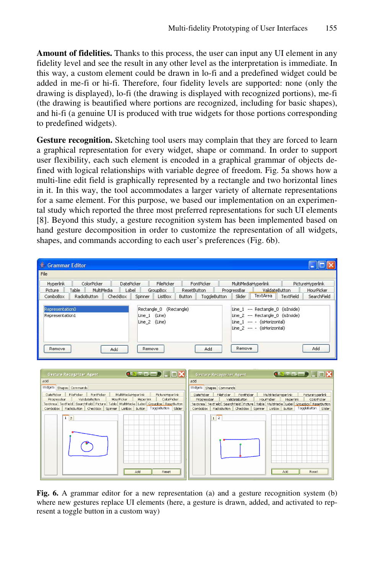**Amount of fidelities.** Thanks to this process, the user can input any UI element in any fidelity level and see the result in any other level as the interpretation is immediate. In this way, a custom element could be drawn in lo-fi and a predefined widget could be added in me-fi or hi-fi. Therefore, four fidelity levels are supported: none (only the drawing is displayed), lo-fi (the drawing is displayed with recognized portions), me-fi (the drawing is beautified where portions are recognized, including for basic shapes), and hi-fi (a genuine UI is produced with true widgets for those portions corresponding to predefined widgets).

Gesture recognition. Sketching tool users may complain that they are forced to learn a graphical representation for every widget, shape or command. In order to support user flexibility, each such element is encoded in a graphical grammar of objects defined with logical relationships with variable degree of freedom. Fig. 5a shows how a multi-line edit field is graphically represented by a rectangle and two horizontal lines in it. In this way, the tool accommodates a larger variety of alternate representations for a same element. For this purpose, we based our implementation on an experimental study which reported the three most preferred representations for such UI elements [8]. Beyond this study, a gesture recognition system has been implemented based on hand gesture decomposition in order to customize the representation of all widgets, shapes, and commands according to each user's preferences (Fig. 6b).

| File                                   |       |             |          |       |                                                              |          |             |              |  |                                                                                                                                      |                            |                  |             |
|----------------------------------------|-------|-------------|----------|-------|--------------------------------------------------------------|----------|-------------|--------------|--|--------------------------------------------------------------------------------------------------------------------------------------|----------------------------|------------------|-------------|
| Hyperlink<br>ColorPicker<br>DatePicker |       |             |          |       | FilePicker<br>FontPicker                                     |          |             |              |  | MultiMediaHyperlink                                                                                                                  |                            | PictureHyperlink |             |
| Picture                                | Table | MultiMedia  |          | Label |                                                              | GroupBox | ResetButton |              |  |                                                                                                                                      | ProgressBar ValidateButton |                  | HourPicker  |
| ComboBox                               |       | RadioButton | CheckBox |       | Spinner                                                      | ListBox  | Button      | ToggleButton |  |                                                                                                                                      | Slider   TextArea          | TextField        | SearchField |
| Representation0<br>Representation1     |       |             |          |       | Rectangle 0<br>(Rectangle)<br>Line 1 (Line)<br>Line 2 (Line) |          |             |              |  | Line 1 --- Rectangle 0 (isInside)<br>Line 2 --- Rectangle 0 (isInside)<br>Line 1 --- - (isHorizontal)<br>Line 2 --- - (isHorizontal) |                            |                  |             |
| Remove                                 |       |             | Add      |       | Remove                                                       |          |             | Add          |  | Remove                                                                                                                               |                            |                  | Add         |



**Fig. 6.** A grammar editor for a new representation (a) and a gesture recognition system (b) where new gestures replace UI elements (here, a gesture is drawn, added, and activated to represent a toggle button in a custom way)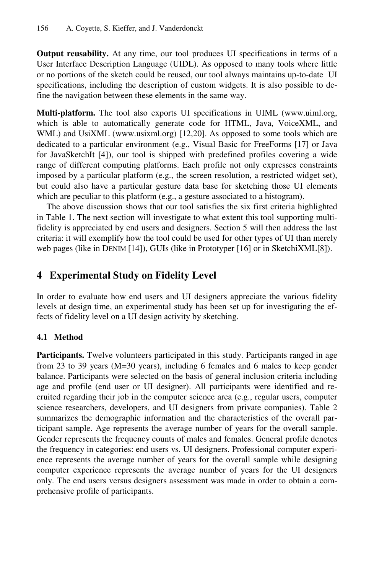**Output reusability.** At any time, our tool produces UI specifications in terms of a User Interface Description Language (UIDL). As opposed to many tools where little or no portions of the sketch could be reused, our tool always maintains up-to-date UI specifications, including the description of custom widgets. It is also possible to define the navigation between these elements in the same way.

**Multi-platform.** The tool also exports UI specifications in UIML (www.uiml.org, which is able to automatically generate code for HTML, Java, VoiceXML, and WML) and UsiXML (www.usixml.org) [12,20]. As opposed to some tools which are dedicated to a particular environment (e.g., Visual Basic for FreeForms [17] or Java for JavaSketchIt [4]), our tool is shipped with predefined profiles covering a wide range of different computing platforms. Each profile not only expresses constraints imposed by a particular platform (e.g., the screen resolution, a restricted widget set), but could also have a particular gesture data base for sketching those UI elements which are peculiar to this platform (e.g., a gesture associated to a histogram).

The above discussion shows that our tool satisfies the six first criteria highlighted in Table 1. The next section will investigate to what extent this tool supporting multifidelity is appreciated by end users and designers. Section 5 will then address the last criteria: it will exemplify how the tool could be used for other types of UI than merely web pages (like in DENIM [14]), GUIs (like in Prototyper [16] or in SketchiXML[8]).

## **4 Experimental Study on Fidelity Level**

In order to evaluate how end users and UI designers appreciate the various fidelity levels at design time, an experimental study has been set up for investigating the effects of fidelity level on a UI design activity by sketching.

## **4.1 Method**

**Participants.** Twelve volunteers participated in this study. Participants ranged in age from 23 to 39 years (M=30 years), including 6 females and 6 males to keep gender balance. Participants were selected on the basis of general inclusion criteria including age and profile (end user or UI designer). All participants were identified and recruited regarding their job in the computer science area (e.g., regular users, computer science researchers, developers, and UI designers from private companies). Table 2 summarizes the demographic information and the characteristics of the overall participant sample. Age represents the average number of years for the overall sample. Gender represents the frequency counts of males and females. General profile denotes the frequency in categories: end users vs. UI designers. Professional computer experience represents the average number of years for the overall sample while designing computer experience represents the average number of years for the UI designers only. The end users versus designers assessment was made in order to obtain a comprehensive profile of participants.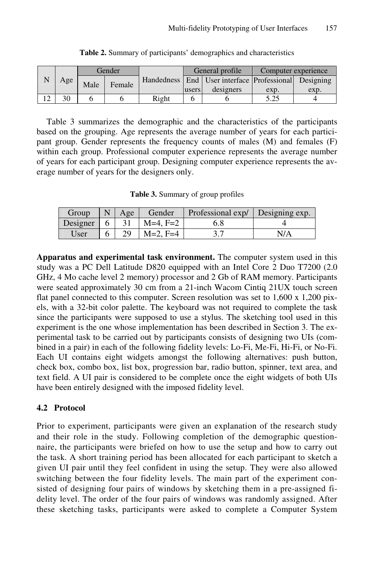|   |     |      | Gender |       |       | General profile                                              | Computer experience |      |  |
|---|-----|------|--------|-------|-------|--------------------------------------------------------------|---------------------|------|--|
| N | Age | Male | Female |       |       | Handedness   End   User interface   Professional   Designing |                     |      |  |
|   |     |      |        |       | users | designers                                                    | exp.                | exp. |  |
|   |     |      |        | Right |       |                                                              |                     |      |  |

**Table 2.** Summary of participants' demographics and characteristics

Table 3 summarizes the demographic and the characteristics of the participants based on the grouping. Age represents the average number of years for each participant group. Gender represents the frequency counts of males (M) and females (F) within each group. Professional computer experience represents the average number of years for each participant group. Designing computer experience represents the average number of years for the designers only.

**Table 3.** Summary of group profiles

| Group    | $\mathbf{N}$ | Age | Gender      | Professional exp/ Designing exp. |     |
|----------|--------------|-----|-------------|----------------------------------|-----|
| Designer | 6            |     | $M=4$ , F=2 | 6.8                              |     |
| User     |              | 29  | $M=2.$ F=4  |                                  | N/A |

**Apparatus and experimental task environment.** The computer system used in this study was a PC Dell Latitude D820 equipped with an Intel Core 2 Duo T7200 (2.0 GHz, 4 Mo cache level 2 memory) processor and 2 Gb of RAM memory. Participants were seated approximately 30 cm from a 21-inch Wacom Cintiq 21UX touch screen flat panel connected to this computer. Screen resolution was set to 1,600 x 1,200 pixels, with a 32-bit color palette. The keyboard was not required to complete the task since the participants were supposed to use a stylus. The sketching tool used in this experiment is the one whose implementation has been described in Section 3. The experimental task to be carried out by participants consists of designing two UIs (combined in a pair) in each of the following fidelity levels: Lo-Fi, Me-Fi, Hi-Fi, or No-Fi. Each UI contains eight widgets amongst the following alternatives: push button, check box, combo box, list box, progression bar, radio button, spinner, text area, and text field. A UI pair is considered to be complete once the eight widgets of both UIs have been entirely designed with the imposed fidelity level.

#### **4.2 Protocol**

Prior to experiment, participants were given an explanation of the research study and their role in the study. Following completion of the demographic questionnaire, the participants were briefed on how to use the setup and how to carry out the task. A short training period has been allocated for each participant to sketch a given UI pair until they feel confident in using the setup. They were also allowed switching between the four fidelity levels. The main part of the experiment consisted of designing four pairs of windows by sketching them in a pre-assigned fidelity level. The order of the four pairs of windows was randomly assigned. After these sketching tasks, participants were asked to complete a Computer System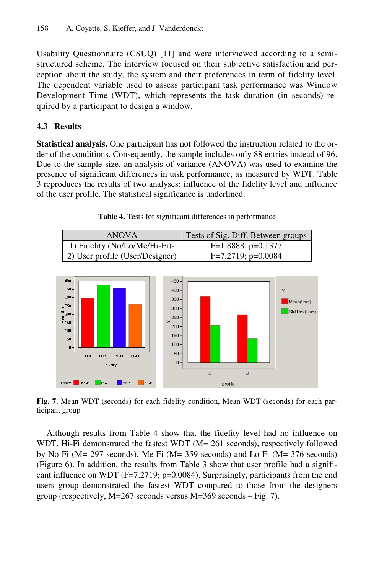Usability Questionnaire (CSUQ) [11] and were interviewed according to a semistructured scheme. The interview focused on their subjective satisfaction and perception about the study, the system and their preferences in term of fidelity level. The dependent variable used to assess participant task performance was Window Development Time (WDT), which represents the task duration (in seconds) required by a participant to design a window.

## **4.3 Results**

**Statistical analysis.** One participant has not followed the instruction related to the order of the conditions. Consequently, the sample includes only 88 entries instead of 96. Due to the sample size, an analysis of variance (ANOVA) was used to examine the presence of significant differences in task performance, as measured by WDT. Table 3 reproduces the results of two analyses: influence of the fidelity level and influence of the user profile. The statistical significance is underlined.



**Table 4.** Tests for significant differences in performance



**Fig. 7.** Mean WDT (seconds) for each fidelity condition, Mean WDT (seconds) for each participant group

Although results from Table 4 show that the fidelity level had no influence on WDT, Hi-Fi demonstrated the fastest WDT (M= 261 seconds), respectively followed by No-Fi (M= 297 seconds), Me-Fi (M= 359 seconds) and Lo-Fi (M= 376 seconds) (Figure 6). In addition, the results from Table 3 show that user profile had a significant influence on WDT ( $F=7.2719$ ;  $p=0.0084$ ). Surprisingly, participants from the end users group demonstrated the fastest WDT compared to those from the designers group (respectively, M=267 seconds versus M=369 seconds – Fig. 7).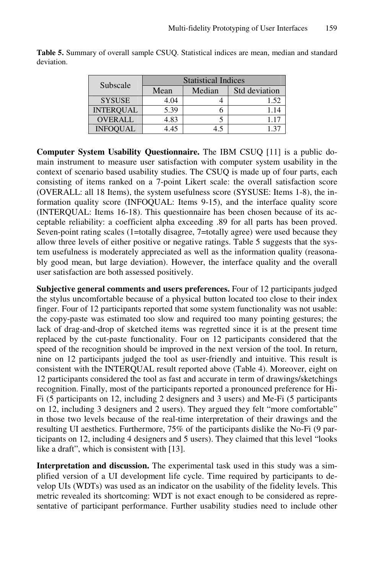| Subscale         | <b>Statistical Indices</b> |        |               |  |  |  |  |
|------------------|----------------------------|--------|---------------|--|--|--|--|
|                  | Mean                       | Median | Std deviation |  |  |  |  |
| <b>SYSUSE</b>    | 4.04                       |        | 1.52          |  |  |  |  |
| <b>INTEROUAL</b> | 5.39                       |        | 1.14          |  |  |  |  |
| <b>OVERALL</b>   | 4.83                       |        | 1.11          |  |  |  |  |
| <b>INFOOUAL</b>  | 4.45                       |        |               |  |  |  |  |

**Table 5.** Summary of overall sample CSUQ. Statistical indices are mean, median and standard deviation.

**Computer System Usability Questionnaire.** The IBM CSUQ [11] is a public domain instrument to measure user satisfaction with computer system usability in the context of scenario based usability studies. The CSUQ is made up of four parts, each consisting of items ranked on a 7-point Likert scale: the overall satisfaction score (OVERALL: all 18 Items), the system usefulness score (SYSUSE: Items 1-8), the information quality score (INFOQUAL: Items 9-15), and the interface quality score (INTERQUAL: Items 16-18). This questionnaire has been chosen because of its acceptable reliability: a coefficient alpha exceeding .89 for all parts has been proved. Seven-point rating scales (1=totally disagree, 7=totally agree) were used because they allow three levels of either positive or negative ratings. Table 5 suggests that the system usefulness is moderately appreciated as well as the information quality (reasonably good mean, but large deviation). However, the interface quality and the overall user satisfaction are both assessed positively.

**Subjective general comments and users preferences.** Four of 12 participants judged the stylus uncomfortable because of a physical button located too close to their index finger. Four of 12 participants reported that some system functionality was not usable: the copy-paste was estimated too slow and required too many pointing gestures; the lack of drag-and-drop of sketched items was regretted since it is at the present time replaced by the cut-paste functionality. Four on 12 participants considered that the speed of the recognition should be improved in the next version of the tool. In return, nine on 12 participants judged the tool as user-friendly and intuitive. This result is consistent with the INTERQUAL result reported above (Table 4). Moreover, eight on 12 participants considered the tool as fast and accurate in term of drawings/sketchings recognition. Finally, most of the participants reported a pronounced preference for Hi-Fi (5 participants on 12, including 2 designers and 3 users) and Me-Fi (5 participants on 12, including 3 designers and 2 users). They argued they felt "more comfortable" in those two levels because of the real-time interpretation of their drawings and the resulting UI aesthetics. Furthermore, 75% of the participants dislike the No-Fi (9 participants on 12, including 4 designers and 5 users). They claimed that this level "looks like a draft", which is consistent with [13].

**Interpretation and discussion.** The experimental task used in this study was a simplified version of a UI development life cycle. Time required by participants to develop UIs (WDTs) was used as an indicator on the usability of the fidelity levels. This metric revealed its shortcoming: WDT is not exact enough to be considered as representative of participant performance. Further usability studies need to include other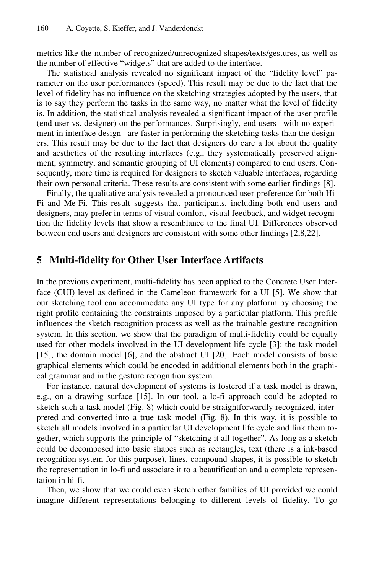metrics like the number of recognized/unrecognized shapes/texts/gestures, as well as the number of effective "widgets" that are added to the interface.

The statistical analysis revealed no significant impact of the "fidelity level" parameter on the user performances (speed). This result may be due to the fact that the level of fidelity has no influence on the sketching strategies adopted by the users, that is to say they perform the tasks in the same way, no matter what the level of fidelity is. In addition, the statistical analysis revealed a significant impact of the user profile (end user vs. designer) on the performances. Surprisingly, end users –with no experiment in interface design– are faster in performing the sketching tasks than the designers. This result may be due to the fact that designers do care a lot about the quality and aesthetics of the resulting interfaces (e.g., they systematically preserved alignment, symmetry, and semantic grouping of UI elements) compared to end users. Consequently, more time is required for designers to sketch valuable interfaces, regarding their own personal criteria. These results are consistent with some earlier findings [8].

Finally, the qualitative analysis revealed a pronounced user preference for both Hi-Fi and Me-Fi. This result suggests that participants, including both end users and designers, may prefer in terms of visual comfort, visual feedback, and widget recognition the fidelity levels that show a resemblance to the final UI. Differences observed between end users and designers are consistent with some other findings [2,8,22].

## **5 Multi-fidelity for Other User Interface Artifacts**

In the previous experiment, multi-fidelity has been applied to the Concrete User Interface (CUI) level as defined in the Cameleon framework for a UI [5]. We show that our sketching tool can accommodate any UI type for any platform by choosing the right profile containing the constraints imposed by a particular platform. This profile influences the sketch recognition process as well as the trainable gesture recognition system. In this section, we show that the paradigm of multi-fidelity could be equally used for other models involved in the UI development life cycle [3]: the task model [15], the domain model [6], and the abstract UI [20]. Each model consists of basic graphical elements which could be encoded in additional elements both in the graphical grammar and in the gesture recognition system.

For instance, natural development of systems is fostered if a task model is drawn, e.g., on a drawing surface [15]. In our tool, a lo-fi approach could be adopted to sketch such a task model (Fig. 8) which could be straightforwardly recognized, interpreted and converted into a true task model (Fig. 8). In this way, it is possible to sketch all models involved in a particular UI development life cycle and link them together, which supports the principle of "sketching it all together". As long as a sketch could be decomposed into basic shapes such as rectangles, text (there is a ink-based recognition system for this purpose), lines, compound shapes, it is possible to sketch the representation in lo-fi and associate it to a beautification and a complete representation in hi-fi.

Then, we show that we could even sketch other families of UI provided we could imagine different representations belonging to different levels of fidelity. To go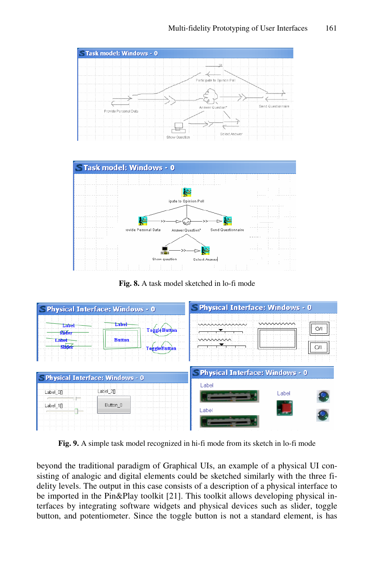



**Fig. 8.** A task model sketched in lo-fi mode



**Fig. 9.** A simple task model recognized in hi-fi mode from its sketch in lo-fi mode

beyond the traditional paradigm of Graphical UIs, an example of a physical UI consisting of analogic and digital elements could be sketched similarly with the three fidelity levels. The output in this case consists of a description of a physical interface to be imported in the Pin&Play toolkit [21]. This toolkit allows developing physical interfaces by integrating software widgets and physical devices such as slider, toggle button, and potentiometer. Since the toggle button is not a standard element, is has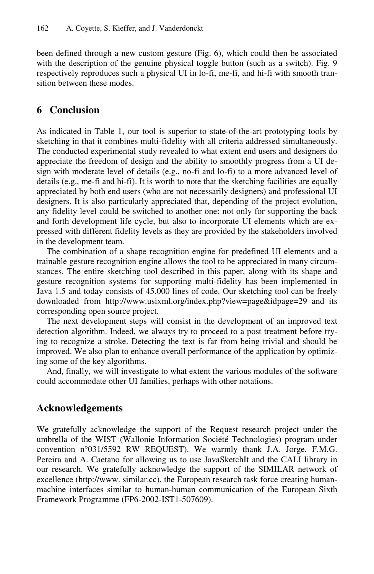been defined through a new custom gesture (Fig. 6), which could then be associated with the description of the genuine physical toggle button (such as a switch). Fig. 9 respectively reproduces such a physical UI in lo-fi, me-fi, and hi-fi with smooth transition between these modes.

## **6 Conclusion**

As indicated in Table 1, our tool is superior to state-of-the-art prototyping tools by sketching in that it combines multi-fidelity with all criteria addressed simultaneously. The conducted experimental study revealed to what extent end users and designers do appreciate the freedom of design and the ability to smoothly progress from a UI design with moderate level of details (e.g., no-fi and lo-fi) to a more advanced level of details (e.g., me-fi and hi-fi). It is worth to note that the sketching facilities are equally appreciated by both end users (who are not necessarily designers) and professional UI designers. It is also particularly appreciated that, depending of the project evolution, any fidelity level could be switched to another one: not only for supporting the back and forth development life cycle, but also to incorporate UI elements which are expressed with different fidelity levels as they are provided by the stakeholders involved in the development team.

The combination of a shape recognition engine for predefined UI elements and a trainable gesture recognition engine allows the tool to be appreciated in many circumstances. The entire sketching tool described in this paper, along with its shape and gesture recognition systems for supporting multi-fidelity has been implemented in Java 1.5 and today consists of 45.000 lines of code. Our sketching tool can be freely downloaded from http://www.usixml.org/index.php?view=page&idpage=29 and its corresponding open source project.

The next development steps will consist in the development of an improved text detection algorithm. Indeed, we always try to proceed to a post treatment before trying to recognize a stroke. Detecting the text is far from being trivial and should be improved. We also plan to enhance overall performance of the application by optimizing some of the key algorithms.

And, finally, we will investigate to what extent the various modules of the software could accommodate other UI families, perhaps with other notations.

## **Acknowledgements**

We gratefully acknowledge the support of the Request research project under the umbrella of the WIST (Wallonie Information Société Technologies) program under convention n°031/5592 RW REQUEST). We warmly thank J.A. Jorge, F.M.G. Pereira and A. Caetano for allowing us to use JavaSketchIt and the CALI library in our research. We gratefully acknowledge the support of the SIMILAR network of excellence (http://www. similar.cc), the European research task force creating humanmachine interfaces similar to human-human communication of the European Sixth Framework Programme (FP6-2002-IST1-507609).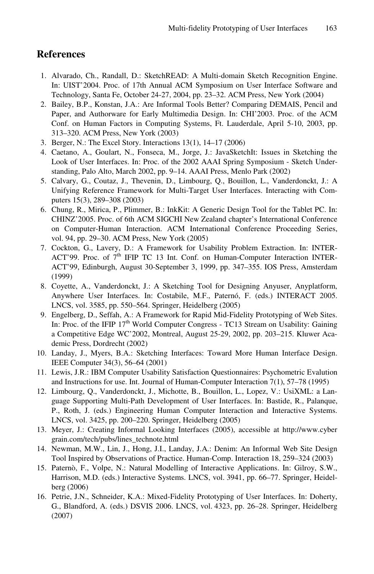## **References**

- 1. Alvarado, Ch., Randall, D.: SketchREAD: A Multi-domain Sketch Recognition Engine. In: UIST'2004. Proc. of 17th Annual ACM Symposium on User Interface Software and Technology, Santa Fe, October 24-27, 2004, pp. 23–32. ACM Press, New York (2004)
- 2. Bailey, B.P., Konstan, J.A.: Are Informal Tools Better? Comparing DEMAIS, Pencil and Paper, and Authorware for Early Multimedia Design. In: CHI'2003. Proc. of the ACM Conf. on Human Factors in Computing Systems, Ft. Lauderdale, April 5-10, 2003, pp. 313–320. ACM Press, New York (2003)
- 3. Berger, N.: The Excel Story. Interactions 13(1), 14–17 (2006)
- 4. Caetano, A., Goulart, N., Fonseca, M., Jorge, J.: JavaSketchIt: Issues in Sketching the Look of User Interfaces. In: Proc. of the 2002 AAAI Spring Symposium - Sketch Understanding, Palo Alto, March 2002, pp. 9–14. AAAI Press, Menlo Park (2002)
- 5. Calvary, G., Coutaz, J., Thevenin, D., Limbourg, Q., Bouillon, L., Vanderdonckt, J.: A Unifying Reference Framework for Multi-Target User Interfaces. Interacting with Computers 15(3), 289–308 (2003)
- 6. Chung, R., Mirica, P., Plimmer, B.: InkKit: A Generic Design Tool for the Tablet PC. In: CHINZ'2005. Proc. of 6th ACM SIGCHI New Zealand chapter's International Conference on Computer-Human Interaction. ACM International Conference Proceeding Series, vol. 94, pp. 29–30. ACM Press, New York (2005)
- 7. Cockton, G., Lavery, D.: A Framework for Usability Problem Extraction. In: INTER-ACT'99. Proc. of  $7<sup>th</sup>$  IFIP TC 13 Int. Conf. on Human-Computer Interaction INTER-ACT'99, Edinburgh, August 30-September 3, 1999, pp. 347–355. IOS Press, Amsterdam (1999)
- 8. Coyette, A., Vanderdonckt, J.: A Sketching Tool for Designing Anyuser, Anyplatform, Anywhere User Interfaces. In: Costabile, M.F., Paternó, F. (eds.) INTERACT 2005. LNCS, vol. 3585, pp. 550–564. Springer, Heidelberg (2005)
- 9. Engelberg, D., Seffah, A.: A Framework for Rapid Mid-Fidelity Prototyping of Web Sites. In: Proc. of the IFIP  $17<sup>th</sup>$  World Computer Congress - TC13 Stream on Usability: Gaining a Competitive Edge WC'2002, Montreal, August 25-29, 2002, pp. 203–215. Kluwer Academic Press, Dordrecht (2002)
- 10. Landay, J., Myers, B.A.: Sketching Interfaces: Toward More Human Interface Design. IEEE Computer 34(3), 56–64 (2001)
- 11. Lewis, J.R.: IBM Computer Usability Satisfaction Questionnaires: Psychometric Evalution and Instructions for use. Int. Journal of Human-Computer Interaction 7(1), 57–78 (1995)
- 12. Limbourg, Q., Vanderdonckt, J., Michotte, B., Bouillon, L., Lopez, V.: UsiXML: a Language Supporting Multi-Path Development of User Interfaces. In: Bastide, R., Palanque, P., Roth, J. (eds.) Engineering Human Computer Interaction and Interactive Systems. LNCS, vol. 3425, pp. 200–220. Springer, Heidelberg (2005)
- 13. Meyer, J.: Creating Informal Looking Interfaces (2005), accessible at http://www.cyber grain.com/tech/pubs/lines\_technote.html
- 14. Newman, M.W., Lin, J., Hong, J.I., Landay, J.A.: Denim: An Informal Web Site Design Tool Inspired by Observations of Practice. Human-Comp. Interaction 18, 259–324 (2003)
- 15. Paternò, F., Volpe, N.: Natural Modelling of Interactive Applications. In: Gilroy, S.W., Harrison, M.D. (eds.) Interactive Systems. LNCS, vol. 3941, pp. 66–77. Springer, Heidelberg (2006)
- 16. Petrie, J.N., Schneider, K.A.: Mixed-Fidelity Prototyping of User Interfaces. In: Doherty, G., Blandford, A. (eds.) DSVIS 2006. LNCS, vol. 4323, pp. 26–28. Springer, Heidelberg (2007)